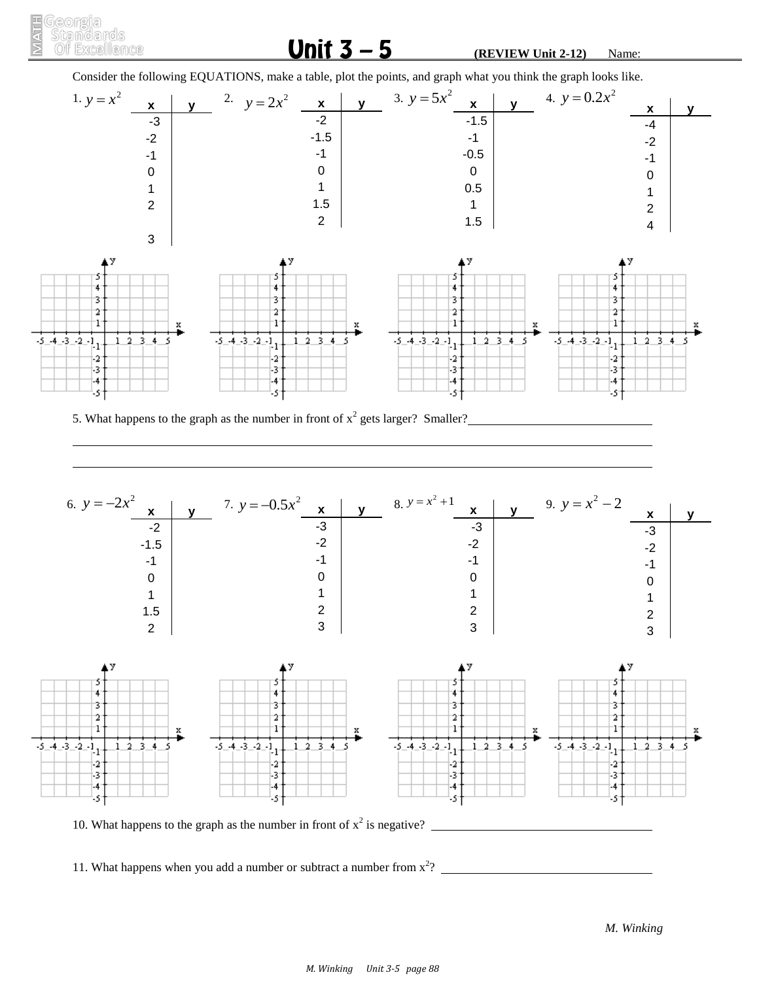

## Unit  $3 - 5$

Consider the following EQUATIONS, make a table, plot the points, and graph what you think the graph looks like.



5. What happens to the graph as the number in front of  $x^2$  gets larger? Smaller?



10. What happens to the graph as the number in front of  $x^2$  is negative?

11. What happens when you add a number or subtract a number from  $x^2$ ?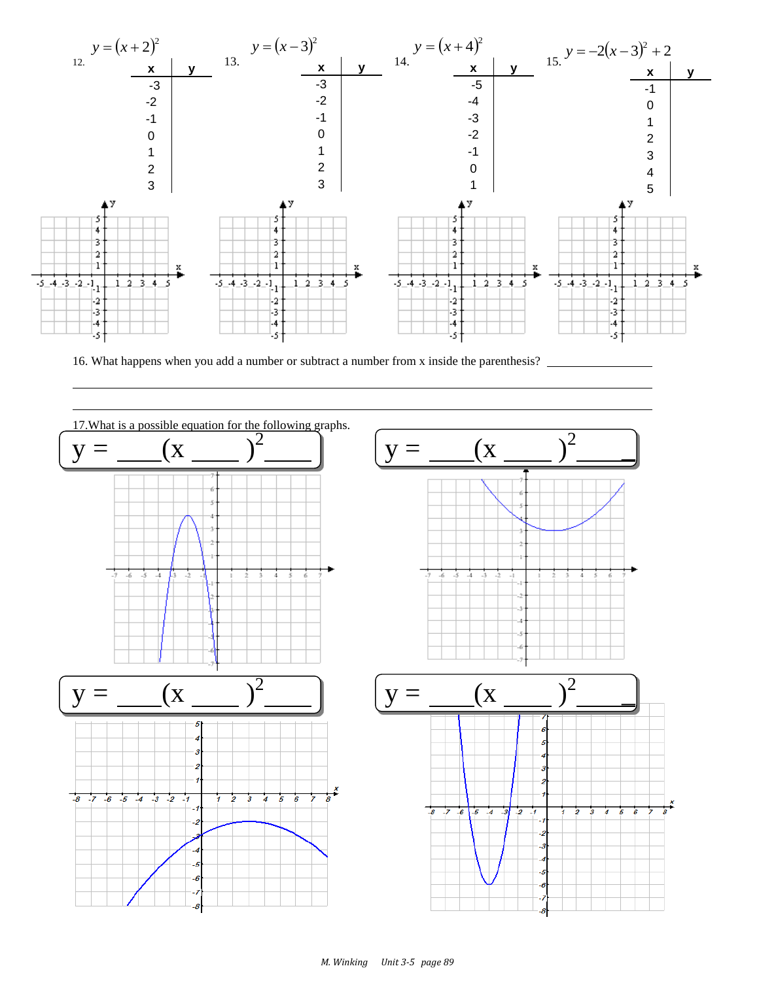

16. What happens when you add a number or subtract a number from x inside the parenthesis?

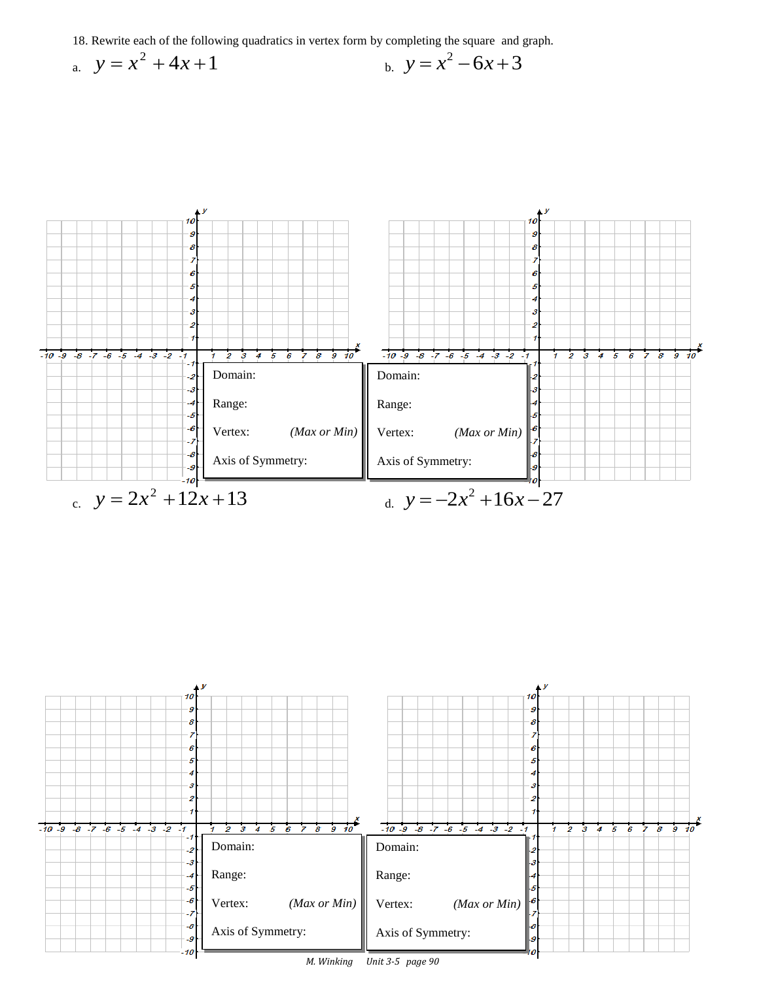18. Rewrite each of the following quadratics in vertex form by completing the square and graph.

a. 
$$
y = x^2 + 4x + 1
$$
 b.  $y = x^2 - 6x + 3$ 





*M. Winking Unit 3-5 page 90*